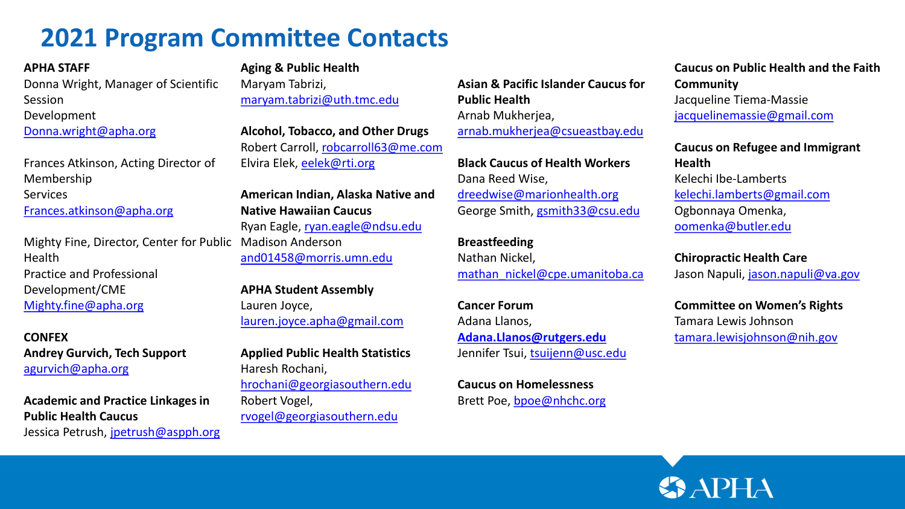# **2021 Program Committee Contacts**

# **APHA STAFF**

Donna Wright, Manager of Scientific Session Development

[Donna.wright@apha.org](mailto:Donna.wright@apha.org)

Frances Atkinson, Acting Director of Membership Services [Frances.atkinson@apha.org](mailto:Frances.atkinson@apha.org)

Mighty Fine, Director, Center for Public Health Practice and Professional Development/CME [Mighty.fine@apha.org](mailto:Mighty.fine@apha.org)

**CONFEX Andrey Gurvich, Tech Support** [agurvich@apha.org](mailto:agurvich@apha.org)

**Academic and Practice Linkages in Public Health Caucus**  Jessica Petrush, [jpetrush@aspph.org](mailto:jpetrush@aspph.org) **Aging & Public Health** 

Maryam Tabrizi, [maryam.tabrizi@uth.tmc.edu](mailto:maryam.tabrizi@uth.tmc.edu)

**Alcohol, Tobacco, and Other Drugs**  Robert Carroll, [robcarroll63@me.com](mailto:robcarroll63@me.com) Elvira Elek, [eelek@rti.org](mailto:eelek@rti.org)

**American Indian, Alaska Native and Native Hawaiian Caucus**  Ryan Eagle, [ryan.eagle@ndsu.edu](mailto:ryan.eagle@ndsu.edu) Madison Anderson [and01458@morris.umn.edu](mailto:and01458@morris.umn.edu)

**APHA Student Assembly**  Lauren Joyce, [lauren.joyce.apha@gmail.com](mailto:lauren.joyce.apha@gmail.com)

**Applied Public Health Statistics** Haresh Rochani, [hrochani@georgiasouthern.edu](mailto:hrochani@georgiasouthern.edu) Robert Vogel, [rvogel@georgiasouthern.edu](mailto:rvogel@georgiasouthern.edu)

**Asian & Pacific Islander Caucus for Public Health**  Arnab Mukherjea, [arnab.mukherjea@csueastbay.edu](mailto:arnab.mukherjea@csueastbay.edu)

**Black Caucus of Health Workers**  Dana Reed Wise, [dreedwise@marionhealth.org](mailto:dreedwise@marionhealth.org) George Smith, [gsmith33@csu.edu](mailto:gsmith33@csu.edu)

**Breastfeeding**  Nathan Nickel, [mathan\\_nickel@cpe.umanitoba.ca](mailto:mathan_nickel@cpe.umanitoba.ca)

**Cancer Forum**  Adana Llanos, **[Adana.Llanos@rutgers.edu](mailto:Adana.Llanos@rutgers.edu)** Jennifer Tsui, [tsuijenn@usc.edu](mailto:tsuijenn@usc.edu)

**Caucus on Homelessness**  Brett Poe, [bpoe@nhchc.org](mailto:bpoe@nhchc.org)

# **Caucus on Public Health and the Faith Community**  Jacqueline Tiema-Massie [jacquelinemassie@gmail.com](mailto:jacquelinemassie@gmail.com)

**Caucus on Refugee and Immigrant Health**  Kelechi Ibe-Lamberts [kelechi.lamberts@gmail.com](mailto:kelechi.lamberts@gmail.com) Ogbonnaya Omenka, [oomenka@butler.edu](mailto:oomenka@butler.edu)

**Chiropractic Health Care**  Jason Napuli, [jason.napuli@va.gov](mailto:jason.napuli@va.gov)

**Committee on Women's Rights** Tamara Lewis Johnson [tamara.lewisjohnson@nih.gov](mailto:tamara.lewisjohnson@nih.gov)

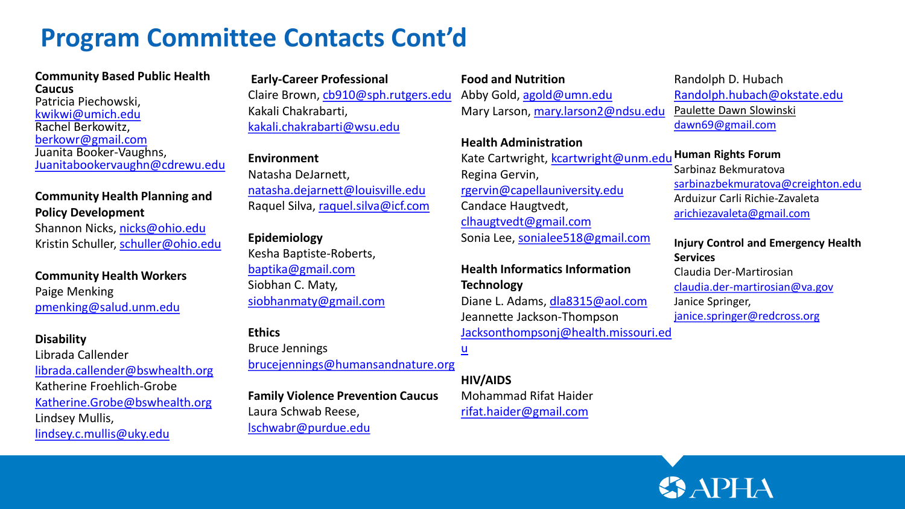# **Program Committee Contacts Cont'd**

#### **Community Based Public Health Caucus**

Patricia Piechowski, [kwikwi@umich.edu](mailto:kwikwi@umich.edu) Rachel Berkowitz, [berkowr@gmail.com](mailto:berkowr@gmail.com) Juanita Booker-Vaughns, [Juanitabookervaughn@cdrewu.edu](mailto:Juanitabookervaughn@cdrewu.edu)

### **Community Health Planning and Policy Development**

Shannon Nicks, [nicks@ohio.edu](mailto:nicks@ohio.edu) Kristin Schuller, [schuller@ohio.edu](mailto:schuller@ohio.edu)

**Community Health Workers**  Paige Menking [pmenking@salud.unm.edu](mailto:pmenking@salud.unm.edu)

#### **Disability**

Librada Callender [librada.callender@bswhealth.org](mailto:librada.callender@bswhealth.org) Katherine Froehlich-Grobe [Katherine.Grobe@bswhealth.org](mailto:Katherine.Grobe@bswhealth.org) Lindsey Mullis, [lindsey.c.mullis@uky.edu](mailto:lindsey.c.mullis@uky.edu)

**Early-Career Professional**  Claire Brown, [cb910@sph.rutgers.edu](mailto:cb910@sph.rutgers.edu) Kakali Chakrabarti, [kakali.chakrabarti@wsu.edu](mailto:kakali.chakrabarti@wsu.edu)

#### **Environment**

Natasha DeJarnett, [natasha.dejarnett@louisville.edu](mailto:natasha.dejarnett@louisville.edu) Raquel Silva, [raquel.silva@icf.com](mailto:raquel.silva@icf.com)

#### **Epidemiology**

Kesha Baptiste-Roberts, [baptika@gmail.com](mailto:baptika@gmail.com) Siobhan C. Maty, [siobhanmaty@gmail.com](mailto:siobhanmaty@gmail.com)

#### **Ethics**

Bruce Jennings [brucejennings@humansandnature.org](mailto:brucejennings@humansandnature.org)  $\underline{\mathsf{u}}$  $\underline{\mathsf{u}}$  $\underline{\mathsf{u}}$ 

**Family Violence Prevention Caucus**  Laura Schwab Reese, [lschwabr@purdue.edu](mailto:lschwabr@purdue.edu)

### **Food and Nutrition**

Abby Gold, [agold@umn.edu](mailto:agold@umn.edu) Mary Larson, [mary.larson2@ndsu.edu](mailto:mary.larson2@ndsu.edu)

## **Health Administration**

Kate Cartwright, [kcartwright@unm.edu](mailto:kcartwright@unm.edu) **Human Rights Forum**  Regina Gervin, [rgervin@capellauniversity.edu](mailto:rgervin@capellauniversity.edu) Candace Haugtvedt, [clhaugtvedt@gmail.com](mailto:clhaugtvedt@gmail.com) Sonia Lee, [sonialee518@gmail.com](mailto:sonialee518@gmail.com)

# **Health Informatics Information Technology**  Diane L. Adams, [dla8315@aol.com](mailto:dla8315@aol.com) Jeannette Jackson-Thompson [Jacksonthompsonj@health.missouri.ed](mailto:Jacksonthompsonj@health.missouri.edu)

**HIV/AIDS**  Mohammad Rifat Haider [rifat.haider@gmail.com](mailto:rifat.haider@gmail.com)

## Randolph D. Hubach [Randolph.hubach@okstate.edu](mailto:Randolph.hubach@okstate.edu) [Paulette Dawn Slowinski](mailto:dawn69@gmail.com) [dawn69@gmail.com](mailto:dawn69@gmail.com)

Sarbinaz Bekmuratova [sarbinazbekmuratova@creighton.edu](mailto:sarbinazbekmuratova@creighton.edu) Arduizur Carli Richie-Zavaleta [arichiezavaleta@gmail.com](mailto:arichiezavaleta@gmail.com)

#### **Injury Control and Emergency Health Services**  Claudia Der-Martirosian

[claudia.der-martirosian@va.gov](mailto:claudia.der-martirosian@va.gov) Janice Springer, [janice.springer@redcross.org](mailto:janice.springer@redcross.org)

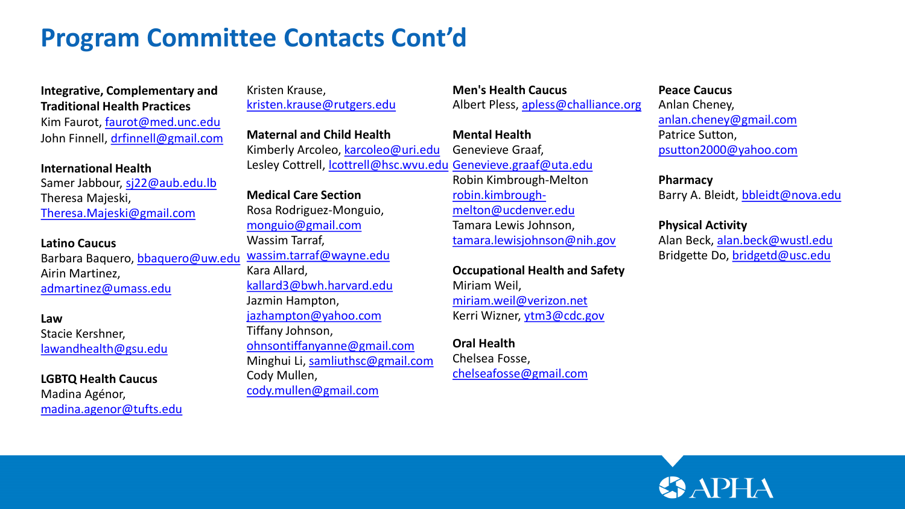# **Program Committee Contacts Cont'd**

# **Integrative, Complementary and Traditional Health Practices**

Kim Faurot, [faurot@med.unc.edu](mailto:faurot@med.unc.edu) John Finnell, [drfinnell@gmail.com](mailto:drfinnell@gmail.com)

#### **International Health**

Samer Jabbour, [sj22@aub.edu.lb](mailto:sj22@aub.edu.lb) Theresa Majeski, [Theresa.Majeski@gmail.com](mailto:Theresa.Majeski@gmail.com)

#### **Latino Caucus**

Barbara Baquero, [bbaquero@uw.edu](mailto:bbaquero@uw.edu) Airin Martinez, [admartinez@umass.edu](mailto:admartinez@umass.edu)

#### **Law**

Stacie Kershner, [lawandhealth@gsu.edu](mailto:lawandhealth@gsu.edu)

### **LGBTQ Health Caucus**  Madina Agénor, [madina.agenor@tufts.edu](mailto:madina.agenor@tufts.edu)

Kristen Krause, [kristen.krause@rutgers.edu](mailto:kristen.krause@rutgers.edu)

**Maternal and Child Health**  Kimberly Arcoleo, [karcoleo@uri.edu](mailto:karcoleo@uri.edu) Lesley Cottrell, [lcottrell@hsc.wvu.edu](mailto:lcottrell@hsc.wvu.edu) [Genevieve.graaf@uta.edu](mailto:Genevieve.graaf@uta.edu)

**Medical Care Section**  Rosa Rodriguez-Monguio, [monguio@gmail.com](mailto:monguio@gmail.com) Wassim Tarraf, [wassim.tarraf@wayne.edu](mailto:wassim.tarraf@wayne.edu) Kara Allard, [kallard3@bwh.harvard.edu](mailto:kallard3@bwh.harvard.edu) Jazmin Hampton, [jazhampton@yahoo.com](mailto:jazhampton@yahoo.com) Tiffany Johnson, [ohnsontiffanyanne@gmail.com](mailto:ohnsontiffanyanne@gmail.com) Minghui Li, [samliuthsc@gmail.com](mailto:samliuthsc@gmail.com) Cody Mullen, [cody.mullen@gmail.com](mailto:cody.mullen@gmail.com)

**Men's Health Caucus** Albert Pless, [apless@challiance.org](mailto:apless@challiance.org)

# **Mental Health**  Genevieve Graaf, Robin Kimbrough-Melton robin.kimbrough[melton@ucdenver.edu](mailto:robin.kimbrough-melton@ucdenver.edu) Tamara Lewis Johnson, [tamara.lewisjohnson@nih.gov](mailto:tamara.lewisjohnson@nih.gov)

**Occupational Health and Safety**  Miriam Weil, [miriam.weil@verizon.net](mailto:miriam.weil@verizon.net) Kerri Wizner, [ytm3@cdc.gov](mailto:ytm3@cdc.gov)

#### **Oral Health**

Chelsea Fosse, [chelseafosse@gmail.com](mailto:chelseafosse@gmail.com)

#### **Peace Caucus**

Anlan Cheney, [anlan.cheney@gmail.com](mailto:anlan.cheney@gmail.com) Patrice Sutton, [psutton2000@yahoo.com](mailto:psutton2000@yahoo.com)

## **Pharmacy**  Barry A. Bleidt, [bbleidt@nova.edu](mailto:bbleidt@nova.edu)

### **Physical Activity**

Alan Beck, [alan.beck@wustl.edu](mailto:alan.beck@wustl.edu) Bridgette Do, [bridgetd@usc.edu](mailto:bridgetd@usc.edu)